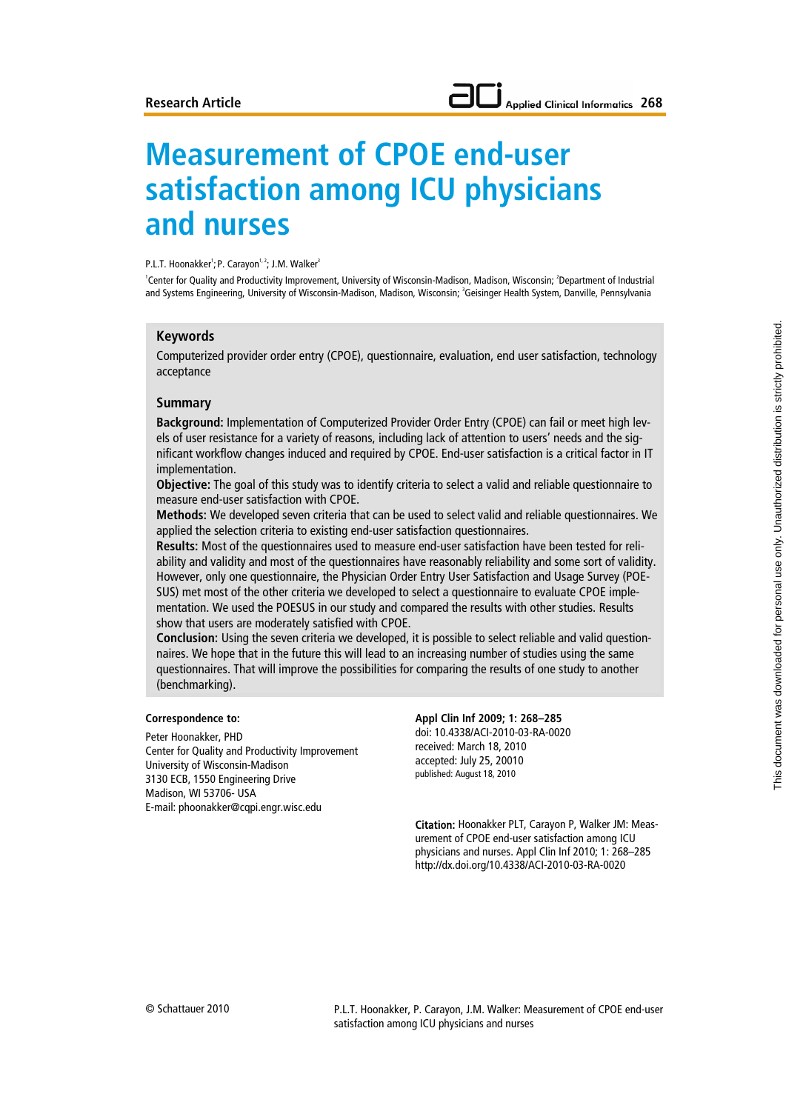# **Measurement of CPOE end-user satisfaction among ICU physicians and nurses**

#### P.L.T. Hoonakker<sup>1</sup>; P. Carayon<sup>1,2</sup>; J.M. Walker<sup>3</sup>

<sup>1</sup>Center for Quality and Productivity Improvement, University of Wisconsin-Madison, Madison, Wisconsin; <sup>2</sup>Department of Industrial and Systems Engineering, University of Wisconsin-Madison, Madison, Wisconsin; <sup>3</sup>Geisinger Health System, Danville, Pennsylvania

#### **Keywords**

Computerized provider order entry (CPOE), questionnaire, evaluation, end user satisfaction, technology acceptance

#### **Summary**

**Background:** Implementation of Computerized Provider Order Entry (CPOE) can fail or meet high levels of user resistance for a variety of reasons, including lack of attention to users' needs and the significant workflow changes induced and required by CPOE. End-user satisfaction is a critical factor in IT implementation.

**Objective:** The goal of this study was to identify criteria to select a valid and reliable questionnaire to measure end-user satisfaction with CPOE.

**Methods:** We developed seven criteria that can be used to select valid and reliable questionnaires. We applied the selection criteria to existing end-user satisfaction questionnaires.

**Results:** Most of the questionnaires used to measure end-user satisfaction have been tested for reliability and validity and most of the questionnaires have reasonably reliability and some sort of validity. However, only one questionnaire, the Physician Order Entry User Satisfaction and Usage Survey (POE-SUS) met most of the other criteria we developed to select a questionnaire to evaluate CPOE implementation. We used the POESUS in our study and compared the results with other studies. Results show that users are moderately satisfied with CPOE.

**Conclusion:** Using the seven criteria we developed, it is possible to select reliable and valid questionnaires. We hope that in the future this will lead to an increasing number of studies using the same questionnaires. That will improve the possibilities for comparing the results of one study to another (benchmarking).

#### **Correspondence to:**

Peter Hoonakker, PHD Center for Quality and Productivity Improvement University of Wisconsin-Madison 3130 ECB, 1550 Engineering Drive Madison, WI 53706- USA E-mail: phoonakker@cqpi.engr.wisc.edu

**Appl Clin Inf 2009; 1: 268–285** doi: 10.4338/ACI-2010-03-RA-0020 received: March 18, 2010 accepted: July 25, 20010 published: August 18, 2010

Citation: Hoonakker PLT, Carayon P, Walker JM: Measurement of CPOE end-user satisfaction among ICU physicians and nurses. Appl Clin Inf 2010; 1: 268–285 http://dx.doi.org/10.4338/ACI-2010-03-RA-0020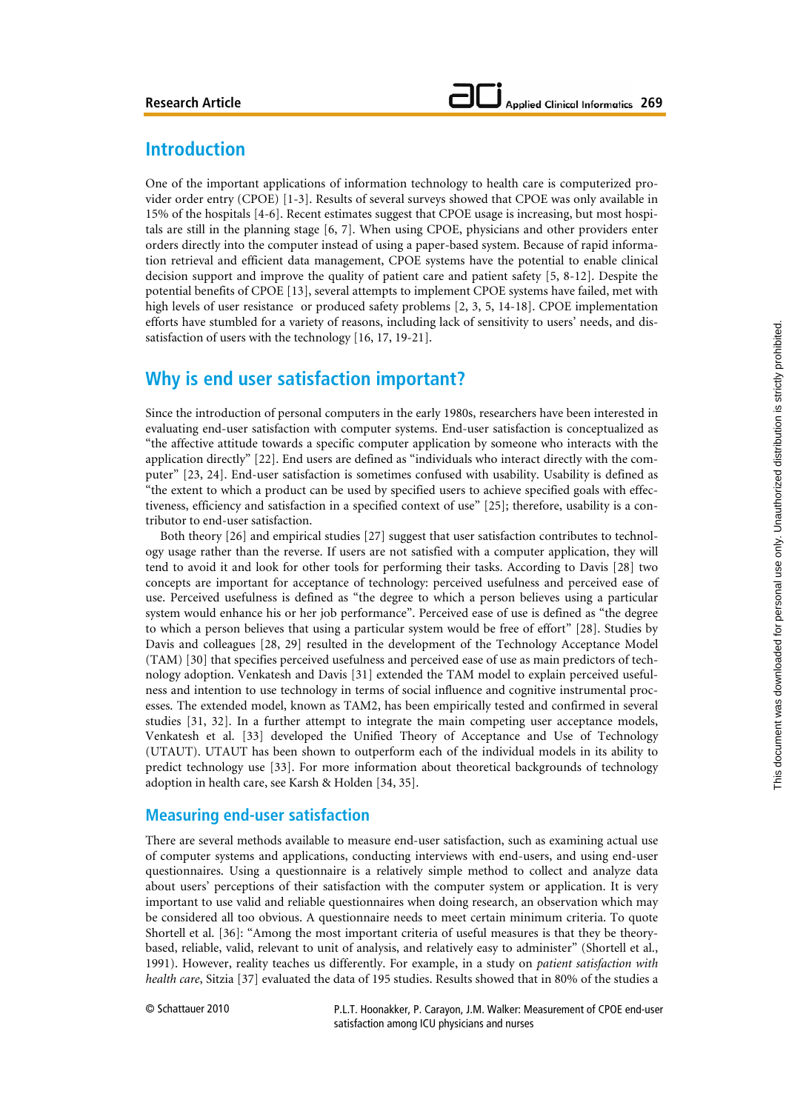# **Introduction**

One of the important applications of information technology to health care is computerized provider order entry (CPOE) [1-3]. Results of several surveys showed that CPOE was only available in 15% of the hospitals [4-6]. Recent estimates suggest that CPOE usage is increasing, but most hospitals are still in the planning stage [6, 7]. When using CPOE, physicians and other providers enter orders directly into the computer instead of using a paper-based system. Because of rapid information retrieval and efficient data management, CPOE systems have the potential to enable clinical decision support and improve the quality of patient care and patient safety [5, 8-12]. Despite the potential benefits of CPOE [13], several attempts to implement CPOE systems have failed, met with high levels of user resistance or produced safety problems [2, 3, 5, 14-18]. CPOE implementation efforts have stumbled for a variety of reasons, including lack of sensitivity to users' needs, and dissatisfaction of users with the technology [16, 17, 19-21].

# **Why is end user satisfaction important?**

Since the introduction of personal computers in the early 1980s, researchers have been interested in evaluating end-user satisfaction with computer systems. End-user satisfaction is conceptualized as "the affective attitude towards a specific computer application by someone who interacts with the application directly" [22]. End users are defined as "individuals who interact directly with the computer" [23, 24]. End-user satisfaction is sometimes confused with usability. Usability is defined as "the extent to which a product can be used by specified users to achieve specified goals with effectiveness, efficiency and satisfaction in a specified context of use" [25]; therefore, usability is a contributor to end-user satisfaction.

Both theory [26] and empirical studies [27] suggest that user satisfaction contributes to technology usage rather than the reverse. If users are not satisfied with a computer application, they will tend to avoid it and look for other tools for performing their tasks. According to Davis [28] two concepts are important for acceptance of technology: perceived usefulness and perceived ease of use. Perceived usefulness is defined as "the degree to which a person believes using a particular system would enhance his or her job performance". Perceived ease of use is defined as "the degree to which a person believes that using a particular system would be free of effort" [28]. Studies by Davis and colleagues [28, 29] resulted in the development of the Technology Acceptance Model (TAM) [30] that specifies perceived usefulness and perceived ease of use as main predictors of technology adoption. Venkatesh and Davis [31] extended the TAM model to explain perceived usefulness and intention to use technology in terms of social influence and cognitive instrumental processes. The extended model, known as TAM2, has been empirically tested and confirmed in several studies [31, 32]. In a further attempt to integrate the main competing user acceptance models, Venkatesh et al. [33] developed the Unified Theory of Acceptance and Use of Technology (UTAUT). UTAUT has been shown to outperform each of the individual models in its ability to predict technology use [33]. For more information about theoretical backgrounds of technology adoption in health care, see Karsh & Holden [34, 35].

## **Measuring end-user satisfaction**

There are several methods available to measure end-user satisfaction, such as examining actual use of computer systems and applications, conducting interviews with end-users, and using end-user questionnaires. Using a questionnaire is a relatively simple method to collect and analyze data about users' perceptions of their satisfaction with the computer system or application. It is very important to use valid and reliable questionnaires when doing research, an observation which may be considered all too obvious. A questionnaire needs to meet certain minimum criteria. To quote Shortell et al. [36]: "Among the most important criteria of useful measures is that they be theorybased, reliable, valid, relevant to unit of analysis, and relatively easy to administer" (Shortell et al., 1991). However, reality teaches us differently. For example, in a study on *patient satisfaction with health care*, Sitzia [37] evaluated the data of 195 studies. Results showed that in 80% of the studies a

© Schattauer 2010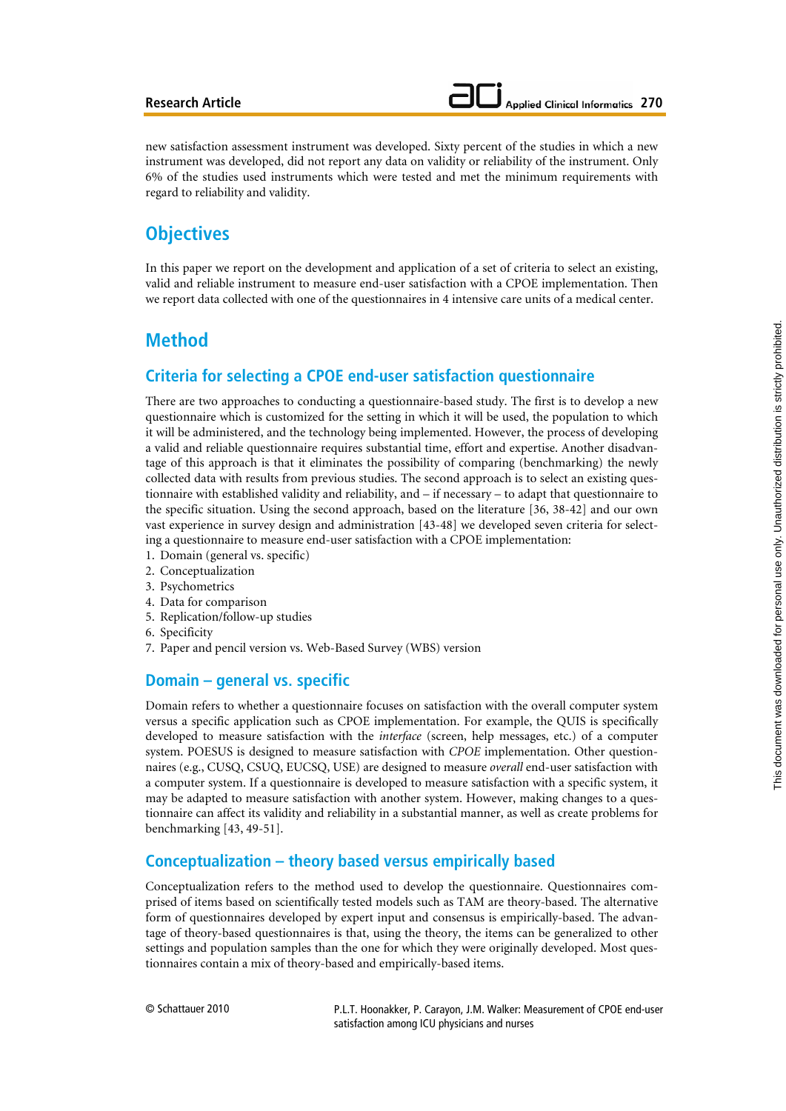new satisfaction assessment instrument was developed. Sixty percent of the studies in which a new instrument was developed, did not report any data on validity or reliability of the instrument. Only 6% of the studies used instruments which were tested and met the minimum requirements with regard to reliability and validity.

# **Objectives**

In this paper we report on the development and application of a set of criteria to select an existing, valid and reliable instrument to measure end-user satisfaction with a CPOE implementation. Then we report data collected with one of the questionnaires in 4 intensive care units of a medical center.

# **Method**

# **Criteria for selecting a CPOE end-user satisfaction questionnaire**

There are two approaches to conducting a questionnaire-based study. The first is to develop a new questionnaire which is customized for the setting in which it will be used, the population to which it will be administered, and the technology being implemented. However, the process of developing a valid and reliable questionnaire requires substantial time, effort and expertise. Another disadvantage of this approach is that it eliminates the possibility of comparing (benchmarking) the newly collected data with results from previous studies. The second approach is to select an existing questionnaire with established validity and reliability, and – if necessary – to adapt that questionnaire to the specific situation. Using the second approach, based on the literature [36, 38-42] and our own vast experience in survey design and administration [43-48] we developed seven criteria for selecting a questionnaire to measure end-user satisfaction with a CPOE implementation:

- 1. Domain (general vs. specific)
- 2. Conceptualization
- 3. Psychometrics
- 4. Data for comparison
- 5. Replication/follow-up studies
- 6. Specificity
- 7. Paper and pencil version vs. Web-Based Survey (WBS) version

# **Domain – general vs. specific**

Domain refers to whether a questionnaire focuses on satisfaction with the overall computer system versus a specific application such as CPOE implementation. For example, the QUIS is specifically developed to measure satisfaction with the *interface* (screen, help messages, etc.) of a computer system. POESUS is designed to measure satisfaction with *CPOE* implementation. Other questionnaires (e.g., CUSQ, CSUQ, EUCSQ, USE) are designed to measure *overall* end-user satisfaction with a computer system. If a questionnaire is developed to measure satisfaction with a specific system, it may be adapted to measure satisfaction with another system. However, making changes to a questionnaire can affect its validity and reliability in a substantial manner, as well as create problems for benchmarking [43, 49-51].

# **Conceptualization – theory based versus empirically based**

Conceptualization refers to the method used to develop the questionnaire. Questionnaires comprised of items based on scientifically tested models such as TAM are theory-based. The alternative form of questionnaires developed by expert input and consensus is empirically-based. The advantage of theory-based questionnaires is that, using the theory, the items can be generalized to other settings and population samples than the one for which they were originally developed. Most questionnaires contain a mix of theory-based and empirically-based items.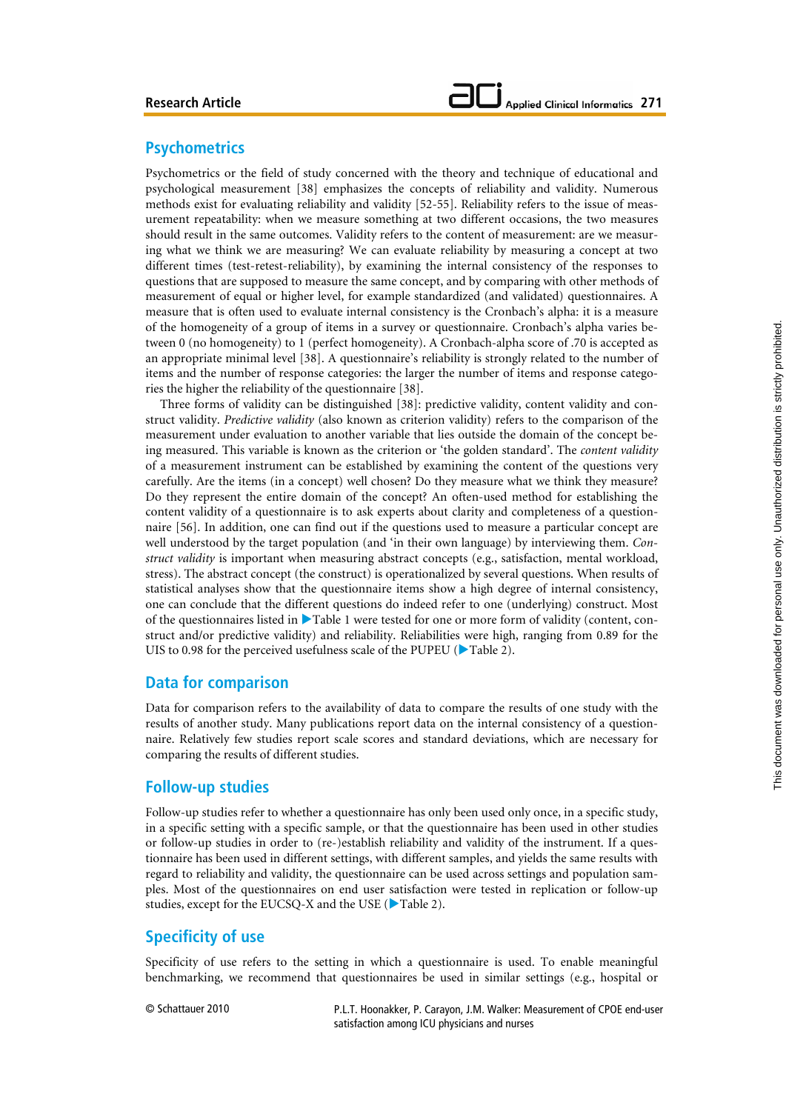## **Psychometrics**

Psychometrics or the field of study concerned with the theory and technique of educational and psychological measurement [38] emphasizes the concepts of reliability and validity. Numerous methods exist for evaluating reliability and validity [52-55]. Reliability refers to the issue of measurement repeatability: when we measure something at two different occasions, the two measures should result in the same outcomes. Validity refers to the content of measurement: are we measuring what we think we are measuring? We can evaluate reliability by measuring a concept at two different times (test-retest-reliability), by examining the internal consistency of the responses to questions that are supposed to measure the same concept, and by comparing with other methods of measurement of equal or higher level, for example standardized (and validated) questionnaires. A measure that is often used to evaluate internal consistency is the Cronbach's alpha: it is a measure of the homogeneity of a group of items in a survey or questionnaire. Cronbach's alpha varies between 0 (no homogeneity) to 1 (perfect homogeneity). A Cronbach-alpha score of .70 is accepted as an appropriate minimal level [38]. A questionnaire's reliability is strongly related to the number of items and the number of response categories: the larger the number of items and response categories the higher the reliability of the questionnaire [38].

Three forms of validity can be distinguished [38]: predictive validity, content validity and construct validity. *Predictive validity* (also known as criterion validity) refers to the comparison of the measurement under evaluation to another variable that lies outside the domain of the concept being measured. This variable is known as the criterion or 'the golden standard'. The *content validity* of a measurement instrument can be established by examining the content of the questions very carefully. Are the items (in a concept) well chosen? Do they measure what we think they measure? Do they represent the entire domain of the concept? An often-used method for establishing the content validity of a questionnaire is to ask experts about clarity and completeness of a questionnaire [56]. In addition, one can find out if the questions used to measure a particular concept are well understood by the target population (and 'in their own language) by interviewing them. *Construct validity* is important when measuring abstract concepts (e.g., satisfaction, mental workload, stress). The abstract concept (the construct) is operationalized by several questions. When results of statistical analyses show that the questionnaire items show a high degree of internal consistency, one can conclude that the different questions do indeed refer to one (underlying) construct. Most of the questionnaires listed in  $\blacktriangleright$  Table 1 were tested for one or more form of validity (content, construct and/or predictive validity) and reliability. Reliabilities were high, ranging from 0.89 for the UIS to 0.98 for the perceived usefulness scale of the PUPEU ( $\blacktriangleright$  Table 2).

#### **Data for comparison**

Data for comparison refers to the availability of data to compare the results of one study with the results of another study. Many publications report data on the internal consistency of a questionnaire. Relatively few studies report scale scores and standard deviations, which are necessary for comparing the results of different studies.

#### **Follow-up studies**

Follow-up studies refer to whether a questionnaire has only been used only once, in a specific study, in a specific setting with a specific sample, or that the questionnaire has been used in other studies or follow-up studies in order to (re-)establish reliability and validity of the instrument. If a questionnaire has been used in different settings, with different samples, and yields the same results with regard to reliability and validity, the questionnaire can be used across settings and population samples. Most of the questionnaires on end user satisfaction were tested in replication or follow-up studies, except for the EUCSQ-X and the USE ( $\blacktriangleright$  Table 2).

## **Specificity of use**

Specificity of use refers to the setting in which a questionnaire is used. To enable meaningful benchmarking, we recommend that questionnaires be used in similar settings (e.g., hospital or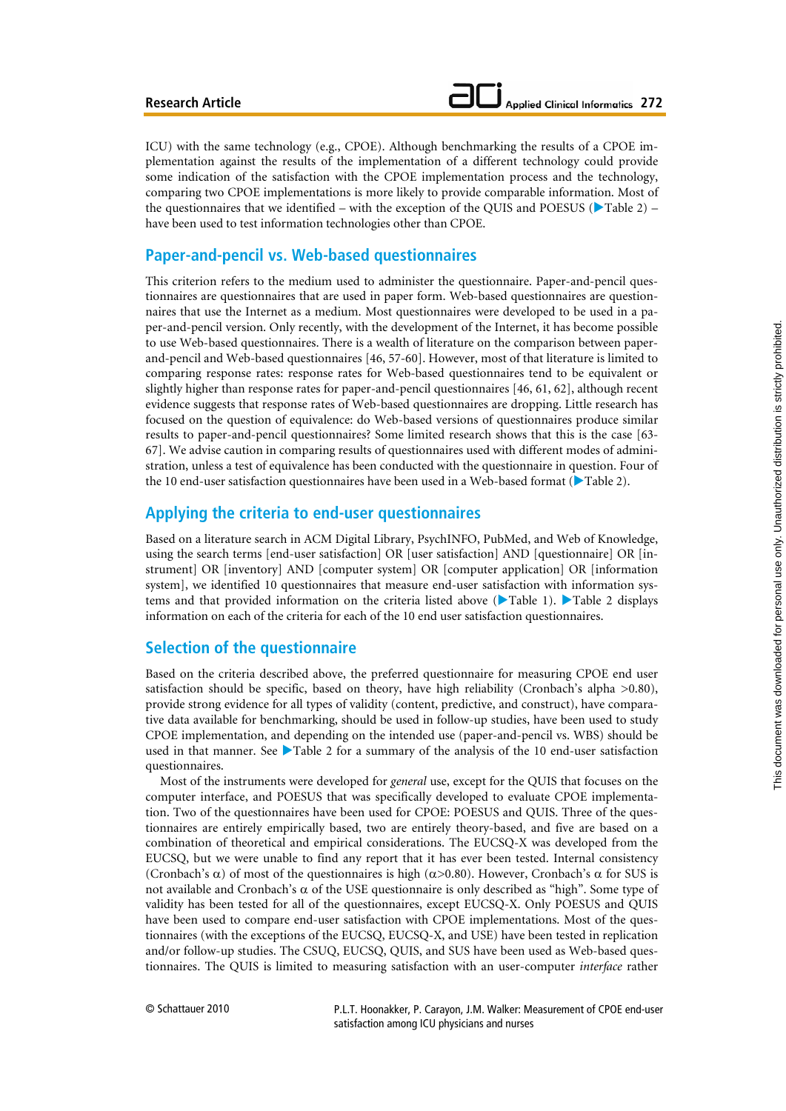ICU) with the same technology (e.g., CPOE). Although benchmarking the results of a CPOE implementation against the results of the implementation of a different technology could provide some indication of the satisfaction with the CPOE implementation process and the technology, comparing two CPOE implementations is more likely to provide comparable information. Most of the questionnaires that we identified – with the exception of the QUIS and POESUS ( $\blacktriangleright$  Table 2) – have been used to test information technologies other than CPOE.

#### **Paper-and-pencil vs. Web-based questionnaires**

This criterion refers to the medium used to administer the questionnaire. Paper-and-pencil questionnaires are questionnaires that are used in paper form. Web-based questionnaires are questionnaires that use the Internet as a medium. Most questionnaires were developed to be used in a paper-and-pencil version. Only recently, with the development of the Internet, it has become possible to use Web-based questionnaires. There is a wealth of literature on the comparison between paperand-pencil and Web-based questionnaires [46, 57-60]. However, most of that literature is limited to comparing response rates: response rates for Web-based questionnaires tend to be equivalent or slightly higher than response rates for paper-and-pencil questionnaires [46, 61, 62], although recent evidence suggests that response rates of Web-based questionnaires are dropping. Little research has focused on the question of equivalence: do Web-based versions of questionnaires produce similar results to paper-and-pencil questionnaires? Some limited research shows that this is the case [63- 67]. We advise caution in comparing results of questionnaires used with different modes of administration, unless a test of equivalence has been conducted with the questionnaire in question. Four of the 10 end-user satisfaction questionnaires have been used in a Web-based format ( $\blacktriangleright$  Table 2).

# **Applying the criteria to end-user questionnaires**

Based on a literature search in ACM Digital Library, PsychINFO, PubMed, and Web of Knowledge, using the search terms [end-user satisfaction] OR [user satisfaction] AND [questionnaire] OR [instrument] OR [inventory] AND [computer system] OR [computer application] OR [information system], we identified 10 questionnaires that measure end-user satisfaction with information systems and that provided information on the criteria listed above ( $\blacktriangleright$  Table 1).  $\blacktriangleright$  Table 2 displays information on each of the criteria for each of the 10 end user satisfaction questionnaires.

## **Selection of the questionnaire**

Based on the criteria described above, the preferred questionnaire for measuring CPOE end user satisfaction should be specific, based on theory, have high reliability (Cronbach's alpha >0.80), provide strong evidence for all types of validity (content, predictive, and construct), have comparative data available for benchmarking, should be used in follow-up studies, have been used to study CPOE implementation, and depending on the intended use (paper-and-pencil vs. WBS) should be used in that manner. See  $\blacktriangleright$  Table 2 for a summary of the analysis of the 10 end-user satisfaction questionnaires.

Most of the instruments were developed for *general* use, except for the QUIS that focuses on the computer interface, and POESUS that was specifically developed to evaluate CPOE implementation. Two of the questionnaires have been used for CPOE: POESUS and QUIS. Three of the questionnaires are entirely empirically based, two are entirely theory-based, and five are based on a combination of theoretical and empirical considerations. The EUCSQ-X was developed from the EUCSQ, but we were unable to find any report that it has ever been tested. Internal consistency (Cronbach's  $\alpha$ ) of most of the questionnaires is high ( $\alpha$ >0.80). However, Cronbach's  $\alpha$  for SUS is not available and Cronbach's α of the USE questionnaire is only described as "high". Some type of validity has been tested for all of the questionnaires, except EUCSQ-X. Only POESUS and QUIS have been used to compare end-user satisfaction with CPOE implementations. Most of the questionnaires (with the exceptions of the EUCSQ, EUCSQ-X, and USE) have been tested in replication and/or follow-up studies. The CSUQ, EUCSQ, QUIS, and SUS have been used as Web-based questionnaires. The QUIS is limited to measuring satisfaction with an user-computer *interface* rather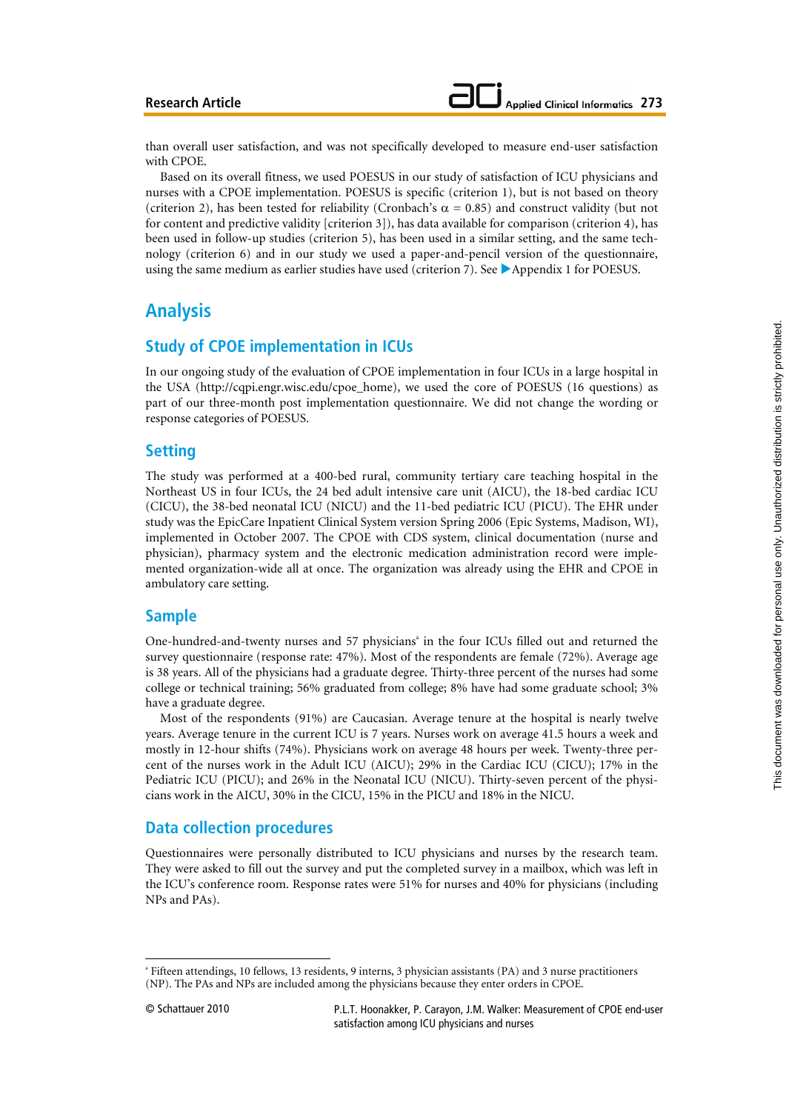than overall user satisfaction, and was not specifically developed to measure end-user satisfaction with CPOE.

Based on its overall fitness, we used POESUS in our study of satisfaction of ICU physicians and nurses with a CPOE implementation. POESUS is specific (criterion 1), but is not based on theory (criterion 2), has been tested for reliability (Cronbach's  $\alpha = 0.85$ ) and construct validity (but not for content and predictive validity [criterion 3]), has data available for comparison (criterion 4), has been used in follow-up studies (criterion 5), has been used in a similar setting, and the same technology (criterion 6) and in our study we used a paper-and-pencil version of the questionnaire, using the same medium as earlier studies have used (criterion 7). See  $\blacktriangleright$  Appendix 1 for POESUS.

# **Analysis**

## **Study of CPOE implementation in ICUs**

In our ongoing study of the evaluation of CPOE implementation in four ICUs in a large hospital in the USA (http://cqpi.engr.wisc.edu/cpoe\_home), we used the core of POESUS (16 questions) as part of our three-month post implementation questionnaire. We did not change the wording or response categories of POESUS.

#### **Setting**

The study was performed at a 400-bed rural, community tertiary care teaching hospital in the Northeast US in four ICUs, the 24 bed adult intensive care unit (AICU), the 18-bed cardiac ICU (CICU), the 38-bed neonatal ICU (NICU) and the 11-bed pediatric ICU (PICU). The EHR under study was the EpicCare Inpatient Clinical System version Spring 2006 (Epic Systems, Madison, WI), implemented in October 2007. The CPOE with CDS system, clinical documentation (nurse and physician), pharmacy system and the electronic medication administration record were implemented organization-wide all at once. The organization was already using the EHR and CPOE in ambulatory care setting.

#### **Sample**

One-hundred-and-twenty nurses and 57 physicians<sup>a</sup> in the four ICUs filled out and returned the survey questionnaire (response rate: 47%). Most of the respondents are female (72%). Average age is 38 years. All of the physicians had a graduate degree. Thirty-three percent of the nurses had some college or technical training; 56% graduated from college; 8% have had some graduate school; 3% have a graduate degree.

Most of the respondents (91%) are Caucasian. Average tenure at the hospital is nearly twelve years. Average tenure in the current ICU is 7 years. Nurses work on average 41.5 hours a week and mostly in 12-hour shifts (74%). Physicians work on average 48 hours per week. Twenty-three percent of the nurses work in the Adult ICU (AICU); 29% in the Cardiac ICU (CICU); 17% in the Pediatric ICU (PICU); and 26% in the Neonatal ICU (NICU). Thirty-seven percent of the physicians work in the AICU, 30% in the CICU, 15% in the PICU and 18% in the NICU.

#### **Data collection procedures**

Questionnaires were personally distributed to ICU physicians and nurses by the research team. They were asked to fill out the survey and put the completed survey in a mailbox, which was left in the ICU's conference room. Response rates were 51% for nurses and 40% for physicians (including NPs and PAs).

-

a Fifteen attendings, 10 fellows, 13 residents, 9 interns, 3 physician assistants (PA) and 3 nurse practitioners (NP). The PAs and NPs are included among the physicians because they enter orders in CPOE.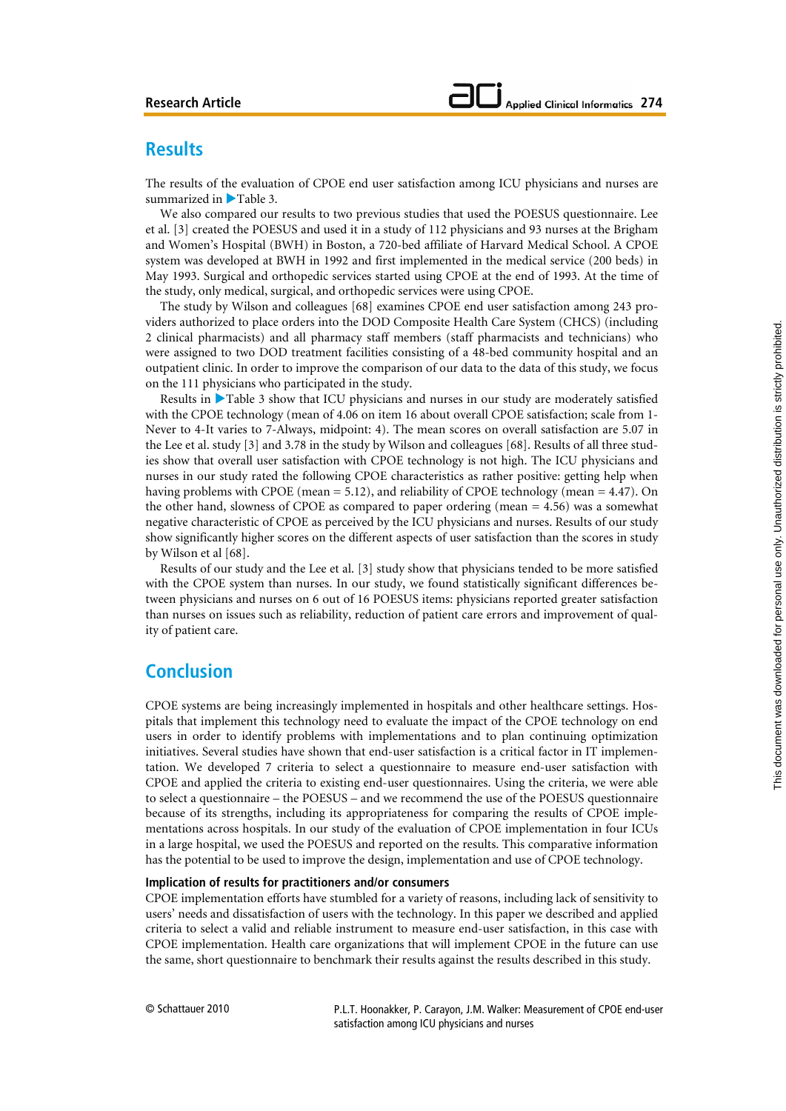# **Results**

The results of the evaluation of CPOE end user satisfaction among ICU physicians and nurses are summarized in  $\blacktriangleright$  Table 3.

We also compared our results to two previous studies that used the POESUS questionnaire. Lee et al. [3] created the POESUS and used it in a study of 112 physicians and 93 nurses at the Brigham and Women's Hospital (BWH) in Boston, a 720-bed affiliate of Harvard Medical School. A CPOE system was developed at BWH in 1992 and first implemented in the medical service (200 beds) in May 1993. Surgical and orthopedic services started using CPOE at the end of 1993. At the time of the study, only medical, surgical, and orthopedic services were using CPOE.

The study by Wilson and colleagues [68] examines CPOE end user satisfaction among 243 providers authorized to place orders into the DOD Composite Health Care System (CHCS) (including 2 clinical pharmacists) and all pharmacy staff members (staff pharmacists and technicians) who were assigned to two DOD treatment facilities consisting of a 48-bed community hospital and an outpatient clinic. In order to improve the comparison of our data to the data of this study, we focus on the 111 physicians who participated in the study.

Results in  $\blacktriangleright$  Table 3 show that ICU physicians and nurses in our study are moderately satisfied with the CPOE technology (mean of 4.06 on item 16 about overall CPOE satisfaction; scale from 1- Never to 4-It varies to 7-Always, midpoint: 4). The mean scores on overall satisfaction are 5.07 in the Lee et al. study [3] and 3.78 in the study by Wilson and colleagues [68]. Results of all three studies show that overall user satisfaction with CPOE technology is not high. The ICU physicians and nurses in our study rated the following CPOE characteristics as rather positive: getting help when having problems with CPOE (mean = 5.12), and reliability of CPOE technology (mean = 4.47). On the other hand, slowness of CPOE as compared to paper ordering (mean  $=$  4.56) was a somewhat negative characteristic of CPOE as perceived by the ICU physicians and nurses. Results of our study show significantly higher scores on the different aspects of user satisfaction than the scores in study by Wilson et al [68].

Results of our study and the Lee et al. [3] study show that physicians tended to be more satisfied with the CPOE system than nurses. In our study, we found statistically significant differences between physicians and nurses on 6 out of 16 POESUS items: physicians reported greater satisfaction than nurses on issues such as reliability, reduction of patient care errors and improvement of quality of patient care.

# **Conclusion**

CPOE systems are being increasingly implemented in hospitals and other healthcare settings. Hospitals that implement this technology need to evaluate the impact of the CPOE technology on end users in order to identify problems with implementations and to plan continuing optimization initiatives. Several studies have shown that end-user satisfaction is a critical factor in IT implementation. We developed 7 criteria to select a questionnaire to measure end-user satisfaction with CPOE and applied the criteria to existing end-user questionnaires. Using the criteria, we were able to select a questionnaire – the POESUS – and we recommend the use of the POESUS questionnaire because of its strengths, including its appropriateness for comparing the results of CPOE implementations across hospitals. In our study of the evaluation of CPOE implementation in four ICUs in a large hospital, we used the POESUS and reported on the results. This comparative information has the potential to be used to improve the design, implementation and use of CPOE technology.

#### **Implication of results for practitioners and/or consumers**

CPOE implementation efforts have stumbled for a variety of reasons, including lack of sensitivity to users' needs and dissatisfaction of users with the technology. In this paper we described and applied criteria to select a valid and reliable instrument to measure end-user satisfaction, in this case with CPOE implementation. Health care organizations that will implement CPOE in the future can use the same, short questionnaire to benchmark their results against the results described in this study.

This document was downloaded for personal use only. Unauthorized distribution is strictly prohibited. This document was downloaded for personal use only. Unauthorized distribution is strictly prohibited.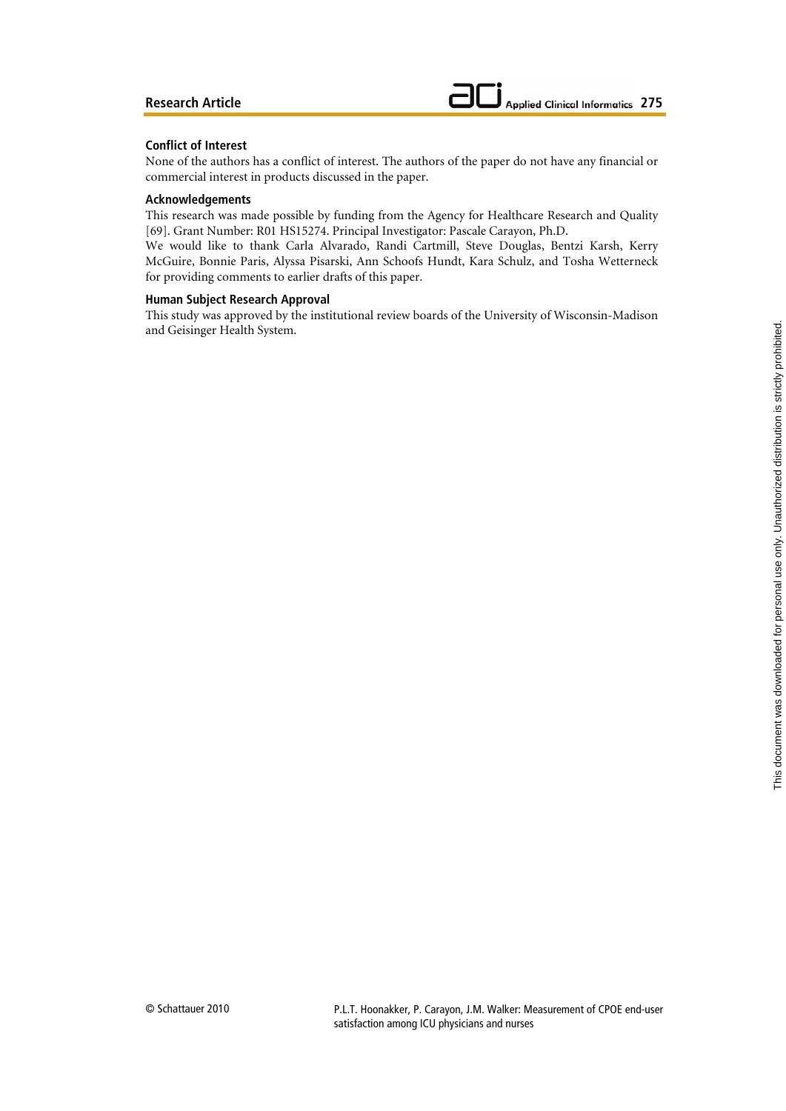#### **Conflict of Interest**

None of the authors has a conflict of interest. The authors of the paper do not have any financial or commercial interest in products discussed in the paper.

#### **Acknowledgements**

This research was made possible by funding from the Agency for Healthcare Research and Quality [69]. Grant Number: R01 HS15274. Principal Investigator: Pascale Carayon, Ph.D.

We would like to thank Carla Alvarado, Randi Cartmill, Steve Douglas, Bentzi Karsh, Kerry McGuire, Bonnie Paris, Alyssa Pisarski, Ann Schoofs Hundt, Kara Schulz, and Tosha Wetterneck for providing comments to earlier drafts of this paper.

#### **Human Subject Research Approval**

This study was approved by the institutional review boards of the University of Wisconsin-Madison and Geisinger Health System.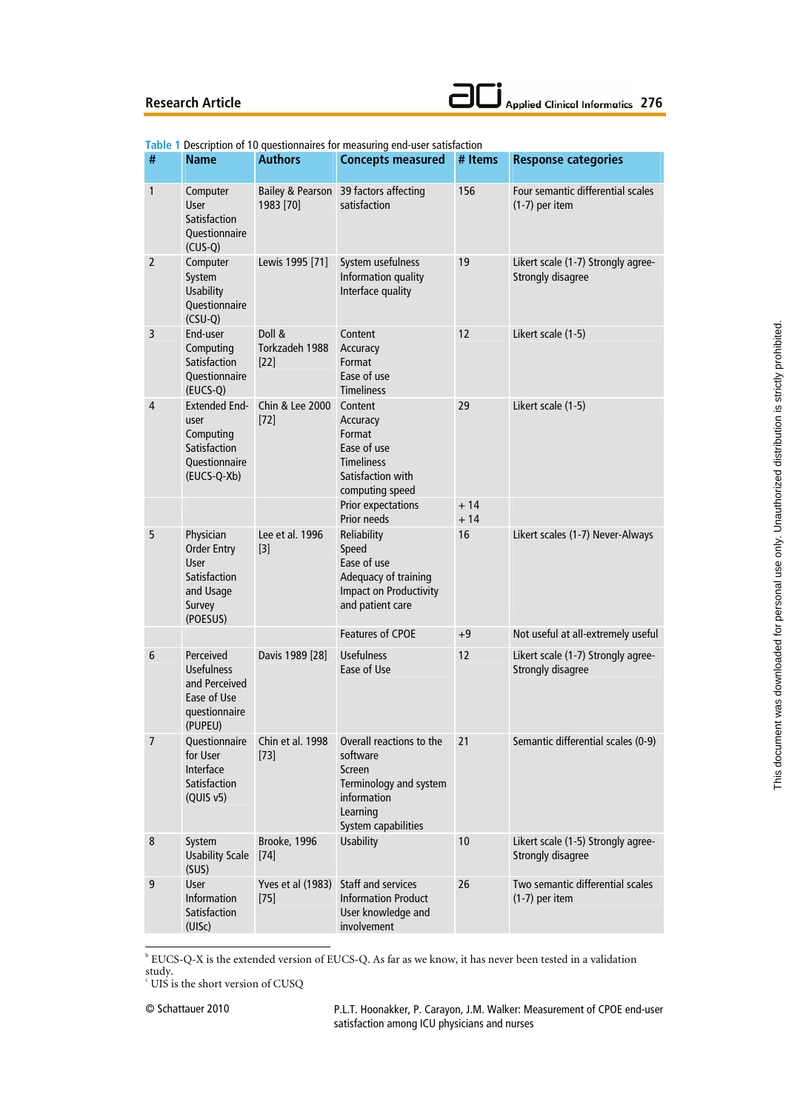# **Applied Clinical Informatics 276**

#### **Table 1** Description of 10 questionnaires for measuring end-user satisfaction

| #              | Name                                                                                       | besemption or to questionnancs to<br><b>Authors</b> | measanng ena aser sans<br><b>Concepts measured</b>                                                                                                        | # Items        | <b>Response categories</b>                              |
|----------------|--------------------------------------------------------------------------------------------|-----------------------------------------------------|-----------------------------------------------------------------------------------------------------------------------------------------------------------|----------------|---------------------------------------------------------|
| $\mathbf{1}$   | Computer<br>User<br>Satisfaction<br>Questionnaire<br>$(CUS-Q)$                             | 1983 [70]                                           | Bailey & Pearson 39 factors affecting<br>satisfaction                                                                                                     | 156            | Four semantic differential scales<br>$(1-7)$ per item   |
| $\overline{2}$ | Computer<br>System<br><b>Usability</b><br>Questionnaire<br>$(CSU-Q)$                       | Lewis 1995 [71]                                     | System usefulness<br>Information quality<br>Interface quality                                                                                             | 19             | Likert scale (1-7) Strongly agree-<br>Strongly disagree |
| 3              | End-user<br>Computing<br>Satisfaction<br>Questionnaire<br>$(EUCS-Q)$                       | Doll &<br>Torkzadeh 1988<br>$[22]$                  | Content<br>Accuracy<br>Format<br>Ease of use<br><b>Timeliness</b>                                                                                         | 12             | Likert scale (1-5)                                      |
| 4              | <b>Extended End-</b><br>user<br>Computing<br>Satisfaction<br>Questionnaire<br>(EUCS-Q-Xb)  | Chin & Lee 2000<br>$[72]$                           | Content<br>Accuracy<br>Format<br>Ease of use<br><b>Timeliness</b><br>Satisfaction with<br>computing speed                                                 | 29             | Likert scale (1-5)                                      |
|                |                                                                                            |                                                     | <b>Prior expectations</b><br>Prior needs                                                                                                                  | $+14$<br>$+14$ |                                                         |
| 5              | Physician<br><b>Order Entry</b><br>User<br>Satisfaction<br>and Usage<br>Survey<br>(POESUS) | Lee et al. 1996<br>$[3]$                            | <b>Reliability</b><br>Speed<br>Ease of use<br>Adequacy of training<br>Impact on Productivity<br>and patient care                                          | 16             | Likert scales (1-7) Never-Always                        |
|                |                                                                                            |                                                     | Features of CPOE                                                                                                                                          | $+9$           | Not useful at all-extremely useful                      |
| 6              | Perceived<br><b>Usefulness</b><br>and Perceived<br>Ease of Use<br>questionnaire<br>(PUPEU) | Davis 1989 [28]                                     | <b>Usefulness</b><br>Ease of Use                                                                                                                          | 12             | Likert scale (1-7) Strongly agree-<br>Strongly disagree |
| 7              | for User<br>Interface<br>Satisfaction<br>(QUIS v5)                                         | $[73]$                                              | Questionnaire Chin et al. 1998 Overall reactions to the<br>software<br>Screen<br>Terminology and system<br>information<br>Learning<br>System capabilities | 21             | Semantic differential scales (0-9)                      |
| 8              | System<br><b>Usability Scale</b><br>(SUS)                                                  | <b>Brooke, 1996</b><br>$[74]$                       | <b>Usability</b>                                                                                                                                          | 10             | Likert scale (1-5) Strongly agree-<br>Strongly disagree |
| 9              | User<br><b>Information</b><br>Satisfaction<br>(UISc)                                       | Yves et al (1983)<br>$[75]$                         | Staff and services<br><b>Information Product</b><br>User knowledge and<br>involvement                                                                     | 26             | Two semantic differential scales<br>$(1-7)$ per item    |

 b EUCS-Q-X is the extended version of EUCS-Q. As far as we know, it has never been tested in a validation study. c UIS is the short version of CUSQ

© Schattauer 2010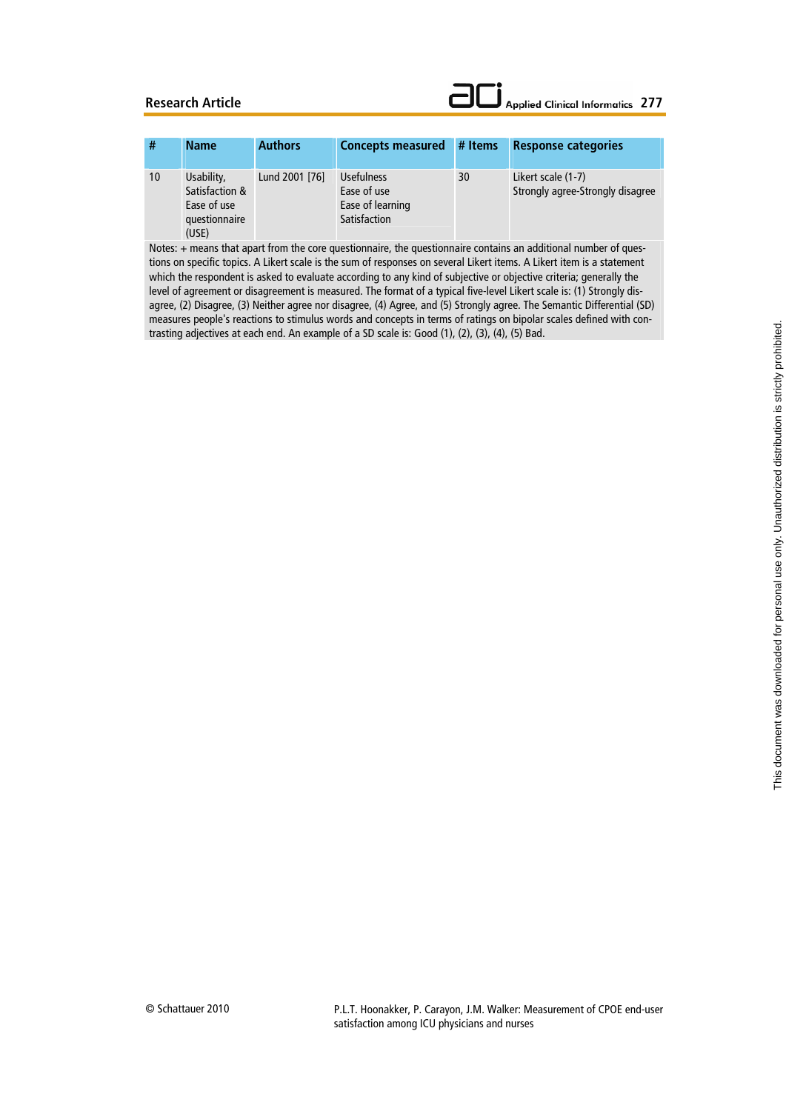| #  |                                                                                                                    | <b>Name</b>                                                           | <b>Authors</b> | <b>Concepts measured</b>                                             | # Items | <b>Response categories</b>                             |  |  |  |
|----|--------------------------------------------------------------------------------------------------------------------|-----------------------------------------------------------------------|----------------|----------------------------------------------------------------------|---------|--------------------------------------------------------|--|--|--|
| 10 |                                                                                                                    | Usability,<br>Satisfaction &<br>Ease of use<br>questionnaire<br>(USE) | Lund 2001 [76] | <b>Usefulness</b><br>Ease of use<br>Ease of learning<br>Satisfaction | 30      | Likert scale (1-7)<br>Strongly agree-Strongly disagree |  |  |  |
|    | Maxima a compatible come force the same cometiments, the consettion the contribution inflitting formula or of come |                                                                       |                |                                                                      |         |                                                        |  |  |  |

Notes: + means that apart from the core questionnaire, the questionnaire contains an additional number of questions on specific topics. A Likert scale is the sum of responses on several Likert items. A Likert item is a statement which the respondent is asked to evaluate according to any kind of subjective or objective criteria; generally the level of agreement or disagreement is measured. The format of a typical five-level Likert scale is: (1) Strongly disagree, (2) Disagree, (3) Neither agree nor disagree, (4) Agree, and (5) Strongly agree. The Semantic Differential (SD) measures people's reactions to stimulus words and concepts in terms of ratings on bipolar scales defined with contrasting adjectives at each end. An example of a SD scale is: Good (1), (2), (3), (4), (5) Bad.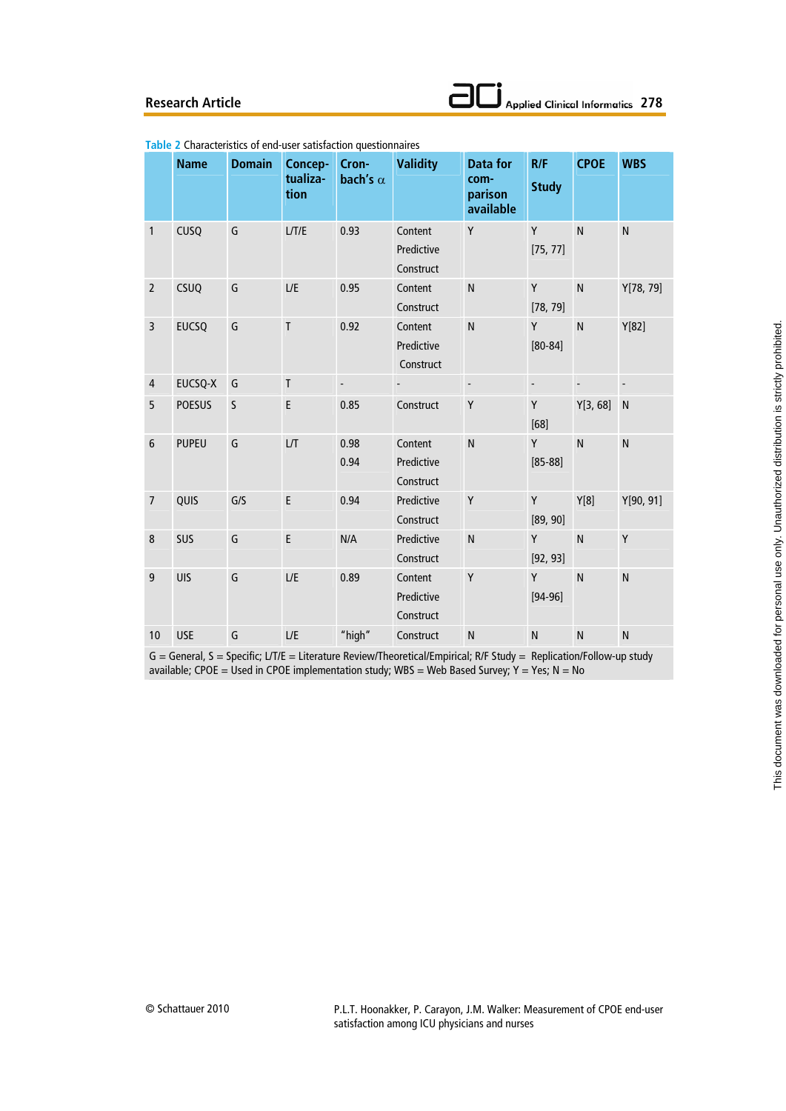|                | <b>Name</b>   | <b>Domain</b> | Concep-<br>tualiza-<br>tion | Cron-<br>bach's $\alpha$ | <b>Validity</b>                    | <b>Data for</b><br>com-<br>parison<br>available | R/F<br><b>Study</b> | <b>CPOE</b>  | <b>WBS</b>   |
|----------------|---------------|---------------|-----------------------------|--------------------------|------------------------------------|-------------------------------------------------|---------------------|--------------|--------------|
| $\mathbf{1}$   | CUSQ          | G             | L/T/E                       | 0.93                     | Content<br>Predictive<br>Construct | Y                                               | Y<br>[75, 77]       | ${\sf N}$    | ${\sf N}$    |
| $\overline{2}$ | CSUQ          | G             | L/E                         | 0.95                     | Content<br>Construct               | $\mathsf{N}$                                    | Y<br>[78, 79]       | ${\sf N}$    | Y[78, 79]    |
| 3              | <b>EUCSQ</b>  | G             | $\mathsf{T}$                | 0.92                     | Content<br>Predictive<br>Construct | N                                               | Y<br>$[80 - 84]$    | ${\sf N}$    | Y[82]        |
| $\overline{4}$ | EUCSQ-X       | G             | T                           | $\overline{\phantom{0}}$ |                                    | $\overline{\phantom{0}}$                        |                     |              |              |
| 5              | <b>POESUS</b> | S             | E                           | 0.85                     | Construct                          | Y                                               | Υ<br>[68]           | Y[3, 68]     | ${\sf N}$    |
| 6              | <b>PUPEU</b>  | G             | L/T                         | 0.98<br>0.94             | Content<br>Predictive<br>Construct | N                                               | Υ<br>$[85 - 88]$    | ${\sf N}$    | N            |
| $\overline{7}$ | QUIS          | G/S           | E                           | 0.94                     | Predictive<br>Construct            | Y                                               | Y<br>[89, 90]       | Y[8]         | Y[90, 91]    |
| 8              | SUS           | G             | E                           | N/A                      | Predictive<br>Construct            | N                                               | Y<br>[92, 93]       | $\mathsf{N}$ | Y            |
| 9              | UIS           | G             | L/E                         | 0.89                     | Content<br>Predictive<br>Construct | Y                                               | Υ<br>$[94-96]$      | $\mathsf{N}$ | $\mathsf{N}$ |
| 10             | <b>USE</b>    | G             | L/E                         | "high"                   | Construct                          | $\mathsf{N}$                                    | ${\sf N}$           | ${\sf N}$    | $\mathsf{N}$ |

**Table 2** Characteristics of end-user satisfaction questionnaires

G = General, S = Specific; L/T/E = Literature Review/Theoretical/Empirical; R/F Study = Replication/Follow-up study available; CPOE = Used in CPOE implementation study; WBS = Web Based Survey;  $Y = Yes$ ;  $N = No$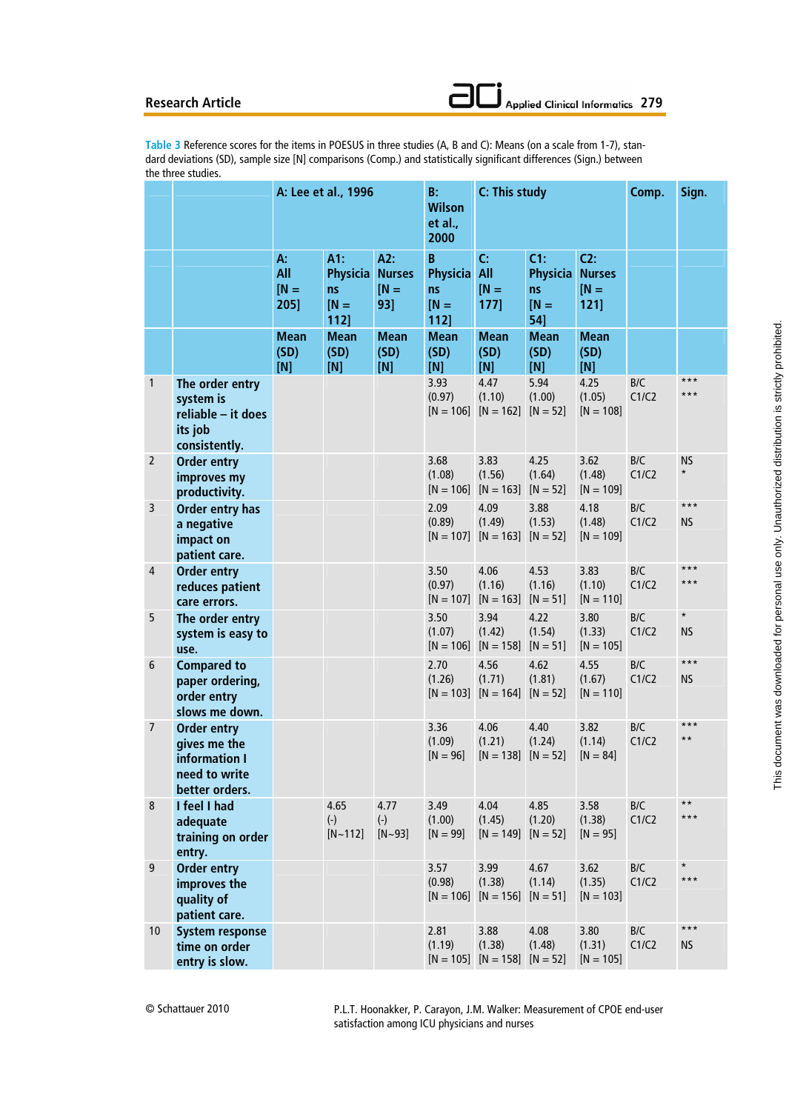**Table 3** Reference scores for the items in POESUS in three studies (A, B and C): Means (on a scale from 1-7), standard deviations (SD), sample size [N] comparisons (Comp.) and statistically significant differences (Sign.) between the three studies.

|                 |                                                                                        | B:<br>C: This study<br>A: Lee et al., 1996<br><b>Wilson</b><br>et al.,<br>2000 |                                                          | Comp.                                 | Sign.                                              |                                          |                                                         |                                          |              |                       |
|-----------------|----------------------------------------------------------------------------------------|--------------------------------------------------------------------------------|----------------------------------------------------------|---------------------------------------|----------------------------------------------------|------------------------------------------|---------------------------------------------------------|------------------------------------------|--------------|-----------------------|
|                 |                                                                                        | А.<br>All<br>$[N =$<br>205]                                                    | $A1$ :<br><b>Physicia</b><br><b>ns</b><br>$[N =$<br>112] | A2:<br><b>Nurses</b><br>$IN =$<br>93] | B<br><b>Physicia</b><br><b>ns</b><br>$[N =$<br>112 | C <sub>i</sub><br>All<br>$[N =$<br>177]  | $C1$ :<br><b>Physicia</b><br><b>ns</b><br>$IN =$<br>54] | $C2$ :<br><b>Nurses</b><br>$IN =$<br>121 |              |                       |
|                 |                                                                                        | Mean<br>(SD)<br>[N]                                                            | <b>Mean</b><br>(SD)<br>[N]                               | <b>Mean</b><br>(SD)<br>[N]            | <b>Mean</b><br>(SD)<br>[N]                         | <b>Mean</b><br>(SD)<br>[N]               | <b>Mean</b><br>(SD)<br>[N]                              | <b>Mean</b><br>(SD)<br>[N]               |              |                       |
| $\mathbf{1}$    | The order entry<br>system is<br>reliable - it does<br>its job<br>consistently.         |                                                                                |                                                          |                                       | 3.93<br>(0.97)<br>$[N = 106]$                      | 4.47<br>(1.10)<br>$[N = 162]$            | 5.94<br>(1.00)<br>$[N = 52]$                            | 4.25<br>(1.05)<br>$[N = 108]$            | B/C<br>C1/C2 | $***$<br>$***$        |
| $\overline{2}$  | <b>Order entry</b><br>improves my<br>productivity.                                     |                                                                                |                                                          |                                       | 3.68<br>(1.08)<br>$[N = 106]$                      | 3.83<br>(1.56)<br>$[N = 163]$            | 4.25<br>(1.64)<br>$[N = 52]$                            | 3.62<br>(1.48)<br>$[N = 109]$            | B/C<br>C1/C2 | <b>NS</b><br>$^\star$ |
| 3               | Order entry has<br>a negative<br>impact on<br>patient care.                            |                                                                                |                                                          |                                       | 2.09<br>(0.89)<br>$[N = 107]$                      | 4.09<br>(1.49)<br>$[N = 163]$            | 3.88<br>(1.53)<br>$[N = 52]$                            | 4.18<br>(1.48)<br>$[N = 109]$            | B/C<br>C1/C2 | $***$<br><b>NS</b>    |
| $\overline{4}$  | <b>Order entry</b><br>reduces patient<br>care errors.                                  |                                                                                |                                                          |                                       | 3.50<br>(0.97)<br>$[N = 107]$                      | 4.06<br>(1.16)<br>$[N = 163]$            | 4.53<br>(1.16)<br>$[N = 51]$                            | 3.83<br>(1.10)<br>$[N = 110]$            | B/C<br>C1/C2 | $***$<br>$***$        |
| 5               | The order entry<br>system is easy to<br>use.                                           |                                                                                |                                                          |                                       | 3.50<br>(1.07)<br>$[N = 106]$                      | 3.94<br>(1.42)<br>$[N = 158]$            | 4.22<br>(1.54)<br>$[N = 51]$                            | 3.80<br>(1.33)<br>$[N = 105]$            | B/C<br>C1/C2 | $\star$<br><b>NS</b>  |
| 6               | <b>Compared to</b><br>paper ordering,<br>order entry<br>slows me down.                 |                                                                                |                                                          |                                       | 2.70<br>(1.26)<br>$[N = 103]$                      | 4.56<br>(1.71)<br>$[N = 164]$            | 4.62<br>(1.81)<br>$[N = 52]$                            | 4.55<br>(1.67)<br>$[N = 110]$            | B/C<br>C1/C2 | $***$<br><b>NS</b>    |
| $\overline{7}$  | <b>Order entry</b><br>gives me the<br>information I<br>need to write<br>better orders. |                                                                                |                                                          |                                       | 3.36<br>(1.09)<br>$[N = 96]$                       | 4.06<br>(1.21)<br>$[N = 138]$ $[N = 52]$ | 4.40<br>(1.24)                                          | 3.82<br>(1.14)<br>$[N = 84]$             | B/C<br>C1/C2 | $***$<br>$\star\star$ |
| 8               | I feel I had<br>adequate<br>training on order<br>entry.                                |                                                                                | 4.65<br>$(\cdot)$<br>$[N - 112]$                         | 4.77<br>$(\cdot)$<br>$[N~293]$        | 3.49<br>(1.00)<br>$[N = 99]$                       | 4.04<br>(1.45)<br>$[N = 149]$            | 4.85<br>(1.20)<br>$[N = 52]$                            | 3.58<br>(1.38)<br>$[N = 95]$             | B/C<br>C1/C2 | $\star\star$<br>$***$ |
| 9               | <b>Order entry</b><br>improves the<br>quality of<br>patient care.                      |                                                                                |                                                          |                                       | 3.57<br>(0.98)<br>$[N = 106]$                      | 3.99<br>(1.38)<br>$[N = 156]$            | 4.67<br>(1.14)<br>$[N = 51]$                            | 3.62<br>(1.35)<br>$[N = 103]$            | B/C<br>C1/C2 | $\star$<br>$***$      |
| 10 <sup>°</sup> | <b>System response</b><br>time on order<br>entry is slow.                              |                                                                                |                                                          |                                       | 2.81<br>(1.19)<br>$[N = 105]$                      | 3.88<br>(1.38)<br>$[N = 158]$ $[N = 52]$ | 4.08<br>(1.48)                                          | 3.80<br>(1.31)<br>$[N = 105]$            | B/C<br>C1/C2 | $***$<br><b>NS</b>    |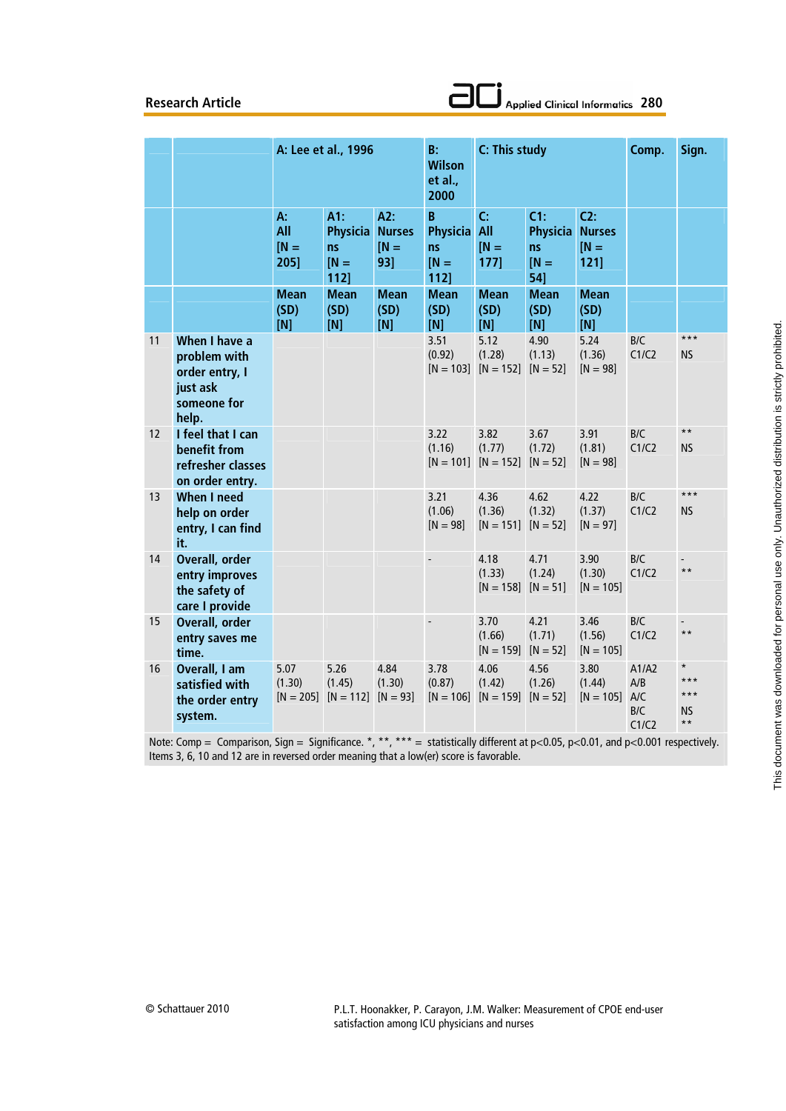|    |                                                                                     | A: Lee et al., 1996           |                                                          |                                       | B:<br><b>Wilson</b><br>et al.,<br>2000              | C: This study                           |                                                         |                                             | Comp.                        | Sign.                              |
|----|-------------------------------------------------------------------------------------|-------------------------------|----------------------------------------------------------|---------------------------------------|-----------------------------------------------------|-----------------------------------------|---------------------------------------------------------|---------------------------------------------|------------------------------|------------------------------------|
|    |                                                                                     | А:<br>All<br>$IN =$<br>205]   | $A1$ :<br><b>Physicia</b><br><b>ns</b><br>$IN =$<br>112] | A2:<br><b>Nurses</b><br>$IN =$<br>93] | B<br><b>Physicia</b><br><b>ns</b><br>$[N =$<br>112] | C <sub>i</sub><br>All<br>$IN =$<br>177] | $C1$ :<br><b>Physicia</b><br><b>ns</b><br>$IN =$<br>54] | $C2$ :<br><b>Nurses</b><br>$IN =$<br>$121]$ |                              |                                    |
|    |                                                                                     | <b>Mean</b><br>(SD)<br>[N]    | <b>Mean</b><br>(SD)<br>[N]                               | <b>Mean</b><br>(SD)<br>[N]            | <b>Mean</b><br>(SD)<br>[N]                          | <b>Mean</b><br>(SD)<br>[N]              | <b>Mean</b><br>(SD)<br>[N]                              | <b>Mean</b><br>(SD)<br>[N]                  |                              |                                    |
| 11 | When I have a<br>problem with<br>order entry, I<br>just ask<br>someone for<br>help. |                               |                                                          |                                       | 3.51<br>(0.92)<br>$[N = 103]$                       | 5.12<br>(1.28)<br>$[N = 152]$           | 4.90<br>(1.13)<br>$[N = 52]$                            | 5.24<br>(1.36)<br>$[N = 98]$                | B/C<br>C1/C2                 | $***$<br><b>NS</b>                 |
| 12 | I feel that I can<br>benefit from<br>refresher classes<br>on order entry.           |                               |                                                          |                                       | 3.22<br>(1.16)<br>$[N = 101]$                       | 3.82<br>(1.77)<br>$[N = 152]$           | 3.67<br>(1.72)<br>$[N = 52]$                            | 3.91<br>(1.81)<br>$[N = 98]$                | B/C<br>C1/C2                 | $**$<br><b>NS</b>                  |
| 13 | <b>When I need</b><br>help on order<br>entry, I can find<br>it.                     |                               |                                                          |                                       | 3.21<br>(1.06)<br>$[N = 98]$                        | 4.36<br>(1.36)<br>$[N = 151]$           | 4.62<br>(1.32)<br>$[N = 52]$                            | 4.22<br>(1.37)<br>$[N = 97]$                | B/C<br>C1/C2                 | $***$<br><b>NS</b>                 |
| 14 | Overall, order<br>entry improves<br>the safety of<br>care I provide                 |                               |                                                          |                                       |                                                     | 4.18<br>(1.33)<br>$[N = 158]$           | 4.71<br>(1.24)<br>$[N = 51]$                            | 3.90<br>(1.30)<br>$[N = 105]$               | B/C<br>C1/C2                 | $**$                               |
| 15 | Overall, order<br>entry saves me<br>time.                                           |                               |                                                          |                                       | $\frac{1}{2}$                                       | 3.70<br>(1.66)<br>$[N = 159]$           | 4.21<br>(1.71)<br>$[N = 52]$                            | 3.46<br>(1.56)<br>$[N = 105]$               | B/C<br>C1/C2                 | $**$                               |
| 16 | Overall, I am<br>satisfied with<br>the order entry<br>system.                       | 5.07<br>(1.30)<br>$[N = 205]$ | 5.26<br>(1.45)<br>$[N = 112]$ $[N = 93]$                 | 4.84<br>(1.30)                        | 3.78<br>(0.87)<br>$[N = 106]$                       | 4.06<br>(1.42)<br>$[N = 159]$           | 4.56<br>(1.26)<br>$[N = 52]$                            | 3.80<br>(1.44)<br>$[N = 105]$ A/C           | A1/A2<br>A/B<br>B/C<br>C1/C2 | ¥<br>$***$<br>$***$<br>ΝS<br>$***$ |

Note: Comp = Comparison, Sign = Significance. \*, \*\*, \*\*\* = statistically different at p<0.05, p<0.01, and p<0.001 respectively. Items 3, 6, 10 and 12 are in reversed order meaning that a low(er) score is favorable.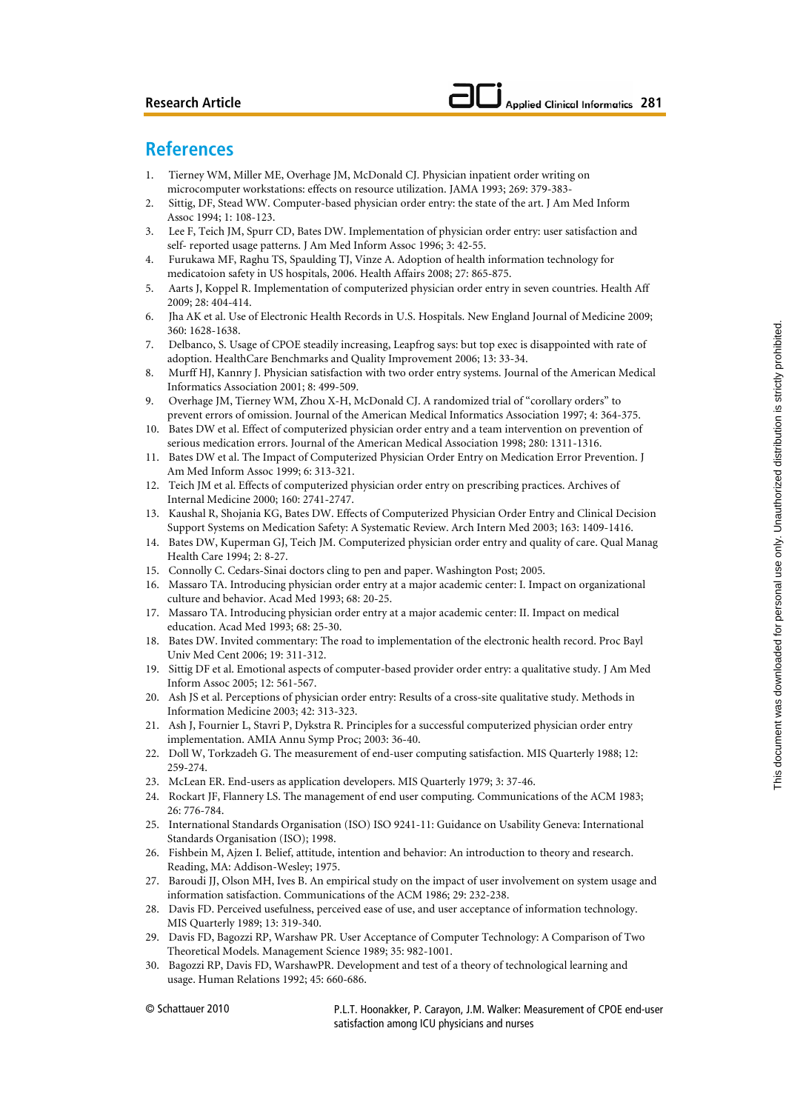# **References**

- 1. Tierney WM, Miller ME, Overhage JM, McDonald CJ. Physician inpatient order writing on microcomputer workstations: effects on resource utilization. JAMA 1993; 269: 379-383-
- 2. Sittig, DF, Stead WW. Computer-based physician order entry: the state of the art. J Am Med Inform Assoc 1994; 1: 108-123.
- 3. Lee F, Teich JM, Spurr CD, Bates DW. Implementation of physician order entry: user satisfaction and self- reported usage patterns. J Am Med Inform Assoc 1996; 3: 42-55.
- 4. Furukawa MF, Raghu TS, Spaulding TJ, Vinze A. Adoption of health information technology for medicatoion safety in US hospitals, 2006. Health Affairs 2008; 27: 865-875.
- 5. Aarts J, Koppel R. Implementation of computerized physician order entry in seven countries. Health Aff 2009; 28: 404-414.
- 6. Jha AK et al. Use of Electronic Health Records in U.S. Hospitals. New England Journal of Medicine 2009; 360: 1628-1638.
- 7. Delbanco, S. Usage of CPOE steadily increasing, Leapfrog says: but top exec is disappointed with rate of adoption. HealthCare Benchmarks and Quality Improvement 2006; 13: 33-34.
- 8. Murff HJ, Kannry J. Physician satisfaction with two order entry systems. Journal of the American Medical Informatics Association 2001; 8: 499-509.
- 9. Overhage JM, Tierney WM, Zhou X-H, McDonald CJ. A randomized trial of "corollary orders" to prevent errors of omission. Journal of the American Medical Informatics Association 1997; 4: 364-375.
- 10. Bates DW et al. Effect of computerized physician order entry and a team intervention on prevention of serious medication errors. Journal of the American Medical Association 1998; 280: 1311-1316.
- 11. Bates DW et al. The Impact of Computerized Physician Order Entry on Medication Error Prevention. J Am Med Inform Assoc 1999; 6: 313-321.
- 12. Teich JM et al. Effects of computerized physician order entry on prescribing practices. Archives of Internal Medicine 2000; 160: 2741-2747.
- 13. Kaushal R, Shojania KG, Bates DW. Effects of Computerized Physician Order Entry and Clinical Decision Support Systems on Medication Safety: A Systematic Review. Arch Intern Med 2003; 163: 1409-1416.
- 14. Bates DW, Kuperman GJ, Teich JM. Computerized physician order entry and quality of care. Qual Manag Health Care 1994; 2: 8-27.
- 15. Connolly C. Cedars-Sinai doctors cling to pen and paper. Washington Post; 2005.
- 16. Massaro TA. Introducing physician order entry at a major academic center: I. Impact on organizational culture and behavior. Acad Med 1993; 68: 20-25.
- 17. Massaro TA. Introducing physician order entry at a major academic center: II. Impact on medical education. Acad Med 1993; 68: 25-30.
- 18. Bates DW. Invited commentary: The road to implementation of the electronic health record. Proc Bayl Univ Med Cent 2006; 19: 311-312.
- 19. Sittig DF et al. Emotional aspects of computer-based provider order entry: a qualitative study. J Am Med Inform Assoc 2005; 12: 561-567.
- 20. Ash JS et al. Perceptions of physician order entry: Results of a cross-site qualitative study. Methods in Information Medicine 2003; 42: 313-323.
- 21. Ash J, Fournier L, Stavri P, Dykstra R. Principles for a successful computerized physician order entry implementation. AMIA Annu Symp Proc; 2003: 36-40.
- 22. Doll W, Torkzadeh G. The measurement of end-user computing satisfaction. MIS Quarterly 1988; 12: 259-274.
- 23. McLean ER. End-users as application developers. MIS Quarterly 1979; 3: 37-46.
- 24. Rockart JF, Flannery LS. The management of end user computing. Communications of the ACM 1983; 26: 776-784.
- 25. International Standards Organisation (ISO) ISO 9241-11: Guidance on Usability Geneva: International Standards Organisation (ISO); 1998.
- 26. Fishbein M, Ajzen I. Belief, attitude, intention and behavior: An introduction to theory and research. Reading, MA: Addison-Wesley; 1975.
- 27. Baroudi JJ, Olson MH, Ives B. An empirical study on the impact of user involvement on system usage and information satisfaction. Communications of the ACM 1986; 29: 232-238.
- 28. Davis FD. Perceived usefulness, perceived ease of use, and user acceptance of information technology. MIS Quarterly 1989; 13: 319-340.
- 29. Davis FD, Bagozzi RP, Warshaw PR. User Acceptance of Computer Technology: A Comparison of Two Theoretical Models. Management Science 1989; 35: 982-1001.
- 30. Bagozzi RP, Davis FD, WarshawPR. Development and test of a theory of technological learning and usage. Human Relations 1992; 45: 660-686.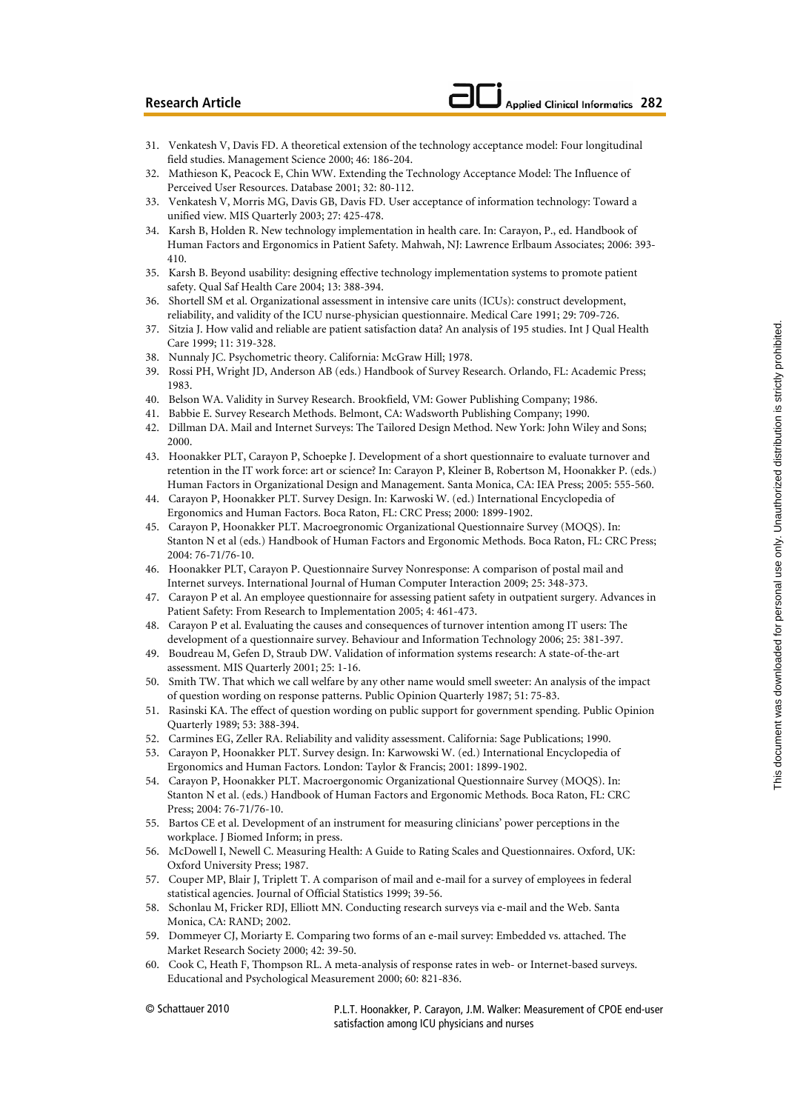- 31. Venkatesh V, Davis FD. A theoretical extension of the technology acceptance model: Four longitudinal field studies. Management Science 2000; 46: 186-204.
- 32. Mathieson K, Peacock E, Chin WW. Extending the Technology Acceptance Model: The Influence of Perceived User Resources. Database 2001; 32: 80-112.
- 33. Venkatesh V, Morris MG, Davis GB, Davis FD. User acceptance of information technology: Toward a unified view. MIS Quarterly 2003; 27: 425-478.
- 34. Karsh B, Holden R. New technology implementation in health care. In: Carayon, P., ed. Handbook of Human Factors and Ergonomics in Patient Safety. Mahwah, NJ: Lawrence Erlbaum Associates; 2006: 393- 410.
- 35. Karsh B. Beyond usability: designing effective technology implementation systems to promote patient safety. Qual Saf Health Care 2004; 13: 388-394.
- 36. Shortell SM et al. Organizational assessment in intensive care units (ICUs): construct development, reliability, and validity of the ICU nurse-physician questionnaire. Medical Care 1991; 29: 709-726.
- 37. Sitzia J. How valid and reliable are patient satisfaction data? An analysis of 195 studies. Int J Qual Health Care 1999; 11: 319-328.
- 38. Nunnaly JC. Psychometric theory. California: McGraw Hill; 1978.
- 39. Rossi PH, Wright JD, Anderson AB (eds.) Handbook of Survey Research. Orlando, FL: Academic Press; 1983.
- 40. Belson WA. Validity in Survey Research. Brookfield, VM: Gower Publishing Company; 1986.
- 41. Babbie E. Survey Research Methods. Belmont, CA: Wadsworth Publishing Company; 1990.
- 42. Dillman DA. Mail and Internet Surveys: The Tailored Design Method. New York: John Wiley and Sons; 2000.
- 43. Hoonakker PLT, Carayon P, Schoepke J. Development of a short questionnaire to evaluate turnover and retention in the IT work force: art or science? In: Carayon P, Kleiner B, Robertson M, Hoonakker P. (eds.) Human Factors in Organizational Design and Management. Santa Monica, CA: IEA Press; 2005: 555-560.
- 44. Carayon P, Hoonakker PLT. Survey Design. In: Karwoski W. (ed.) International Encyclopedia of Ergonomics and Human Factors. Boca Raton, FL: CRC Press; 2000: 1899-1902.
- 45. Carayon P, Hoonakker PLT. Macroegronomic Organizational Questionnaire Survey (MOQS). In: Stanton N et al (eds.) Handbook of Human Factors and Ergonomic Methods. Boca Raton, FL: CRC Press; 2004: 76-71/76-10.
- 46. Hoonakker PLT, Carayon P. Questionnaire Survey Nonresponse: A comparison of postal mail and Internet surveys. International Journal of Human Computer Interaction 2009; 25: 348-373.
- 47. Carayon P et al. An employee questionnaire for assessing patient safety in outpatient surgery. Advances in Patient Safety: From Research to Implementation 2005; 4: 461-473.
- 48. Carayon P et al. Evaluating the causes and consequences of turnover intention among IT users: The development of a questionnaire survey. Behaviour and Information Technology 2006; 25: 381-397.
- 49. Boudreau M, Gefen D, Straub DW. Validation of information systems research: A state-of-the-art assessment. MIS Quarterly 2001; 25: 1-16.
- 50. Smith TW. That which we call welfare by any other name would smell sweeter: An analysis of the impact of question wording on response patterns. Public Opinion Quarterly 1987; 51: 75-83.
- 51. Rasinski KA. The effect of question wording on public support for government spending. Public Opinion Quarterly 1989; 53: 388-394.
- 52. Carmines EG, Zeller RA. Reliability and validity assessment. California: Sage Publications; 1990.
- 53. Carayon P, Hoonakker PLT. Survey design. In: Karwowski W. (ed.) International Encyclopedia of Ergonomics and Human Factors. London: Taylor & Francis; 2001: 1899-1902.
- 54. Carayon P, Hoonakker PLT. Macroergonomic Organizational Questionnaire Survey (MOQS). In: Stanton N et al. (eds.) Handbook of Human Factors and Ergonomic Methods. Boca Raton, FL: CRC Press; 2004: 76-71/76-10.
- 55. Bartos CE et al. Development of an instrument for measuring clinicians' power perceptions in the workplace. J Biomed Inform; in press.
- 56. McDowell I, Newell C. Measuring Health: A Guide to Rating Scales and Questionnaires. Oxford, UK: Oxford University Press; 1987.
- 57. Couper MP, Blair J, Triplett T. A comparison of mail and e-mail for a survey of employees in federal statistical agencies. Journal of Official Statistics 1999; 39-56.
- 58. Schonlau M, Fricker RDJ, Elliott MN. Conducting research surveys via e-mail and the Web. Santa Monica, CA: RAND; 2002.
- 59. Dommeyer CJ, Moriarty E. Comparing two forms of an e-mail survey: Embedded vs. attached. The Market Research Society 2000; 42: 39-50.
- 60. Cook C, Heath F, Thompson RL. A meta-analysis of response rates in web- or Internet-based surveys. Educational and Psychological Measurement 2000; 60: 821-836.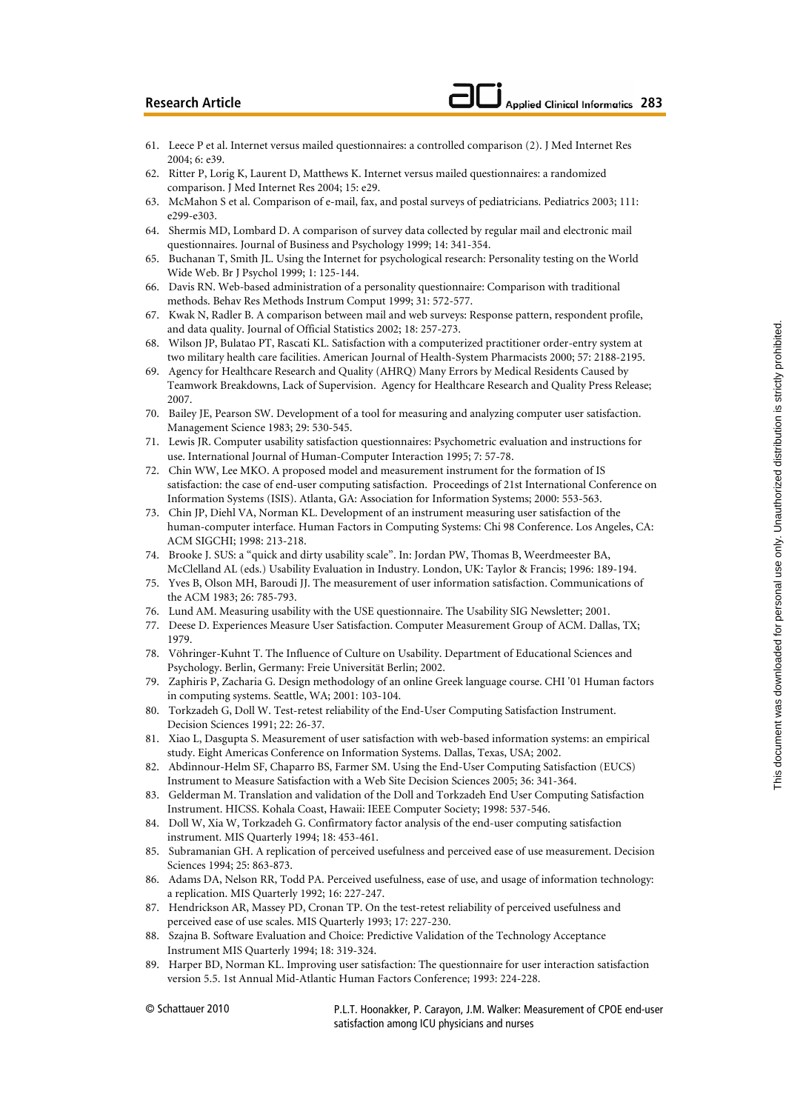- 61. Leece P et al. Internet versus mailed questionnaires: a controlled comparison (2). J Med Internet Res 2004; 6: e39.
- 62. Ritter P, Lorig K, Laurent D, Matthews K. Internet versus mailed questionnaires: a randomized comparison. J Med Internet Res 2004; 15: e29.
- 63. McMahon S et al. Comparison of e-mail, fax, and postal surveys of pediatricians. Pediatrics 2003; 111: e299-e303.
- 64. Shermis MD, Lombard D. A comparison of survey data collected by regular mail and electronic mail questionnaires. Journal of Business and Psychology 1999; 14: 341-354.
- 65. Buchanan T, Smith JL. Using the Internet for psychological research: Personality testing on the World Wide Web. Br J Psychol 1999; 1: 125-144.
- 66. Davis RN. Web-based administration of a personality questionnaire: Comparison with traditional methods. Behav Res Methods Instrum Comput 1999; 31: 572-577.
- 67. Kwak N, Radler B. A comparison between mail and web surveys: Response pattern, respondent profile, and data quality. Journal of Official Statistics 2002; 18: 257-273.
- 68. Wilson JP, Bulatao PT, Rascati KL. Satisfaction with a computerized practitioner order-entry system at two military health care facilities. American Journal of Health-System Pharmacists 2000; 57: 2188-2195.
- 69. Agency for Healthcare Research and Quality (AHRQ) Many Errors by Medical Residents Caused by Teamwork Breakdowns, Lack of Supervision. Agency for Healthcare Research and Quality Press Release; 2007.
- 70. Bailey JE, Pearson SW. Development of a tool for measuring and analyzing computer user satisfaction. Management Science 1983; 29: 530-545.
- 71. Lewis JR. Computer usability satisfaction questionnaires: Psychometric evaluation and instructions for use. International Journal of Human-Computer Interaction 1995; 7: 57-78.
- 72. Chin WW, Lee MKO. A proposed model and measurement instrument for the formation of IS satisfaction: the case of end-user computing satisfaction. Proceedings of 21st International Conference on Information Systems (ISIS). Atlanta, GA: Association for Information Systems; 2000: 553-563.
- 73. Chin JP, Diehl VA, Norman KL. Development of an instrument measuring user satisfaction of the human-computer interface. Human Factors in Computing Systems: Chi 98 Conference. Los Angeles, CA: ACM SIGCHI; 1998: 213-218.
- 74. Brooke J. SUS: a "quick and dirty usability scale". In: Jordan PW, Thomas B, Weerdmeester BA, McClelland AL (eds.) Usability Evaluation in Industry. London, UK: Taylor & Francis; 1996: 189-194.
- 75. Yves B, Olson MH, Baroudi JJ. The measurement of user information satisfaction. Communications of the ACM 1983; 26: 785-793.
- 76. Lund AM. Measuring usability with the USE questionnaire. The Usability SIG Newsletter; 2001.
- 77. Deese D. Experiences Measure User Satisfaction. Computer Measurement Group of ACM. Dallas, TX; 1979.
- 78. Vöhringer-Kuhnt T. The Influence of Culture on Usability. Department of Educational Sciences and Psychology. Berlin, Germany: Freie Universität Berlin; 2002.
- 79. Zaphiris P, Zacharia G. Design methodology of an online Greek language course. CHI '01 Human factors in computing systems. Seattle, WA; 2001: 103-104.
- 80. Torkzadeh G, Doll W. Test-retest reliability of the End-User Computing Satisfaction Instrument. Decision Sciences 1991; 22: 26-37.
- 81. Xiao L, Dasgupta S. Measurement of user satisfaction with web-based information systems: an empirical study. Eight Americas Conference on Information Systems. Dallas, Texas, USA; 2002.
- 82. Abdinnour-Helm SF, Chaparro BS, Farmer SM. Using the End-User Computing Satisfaction (EUCS) Instrument to Measure Satisfaction with a Web Site Decision Sciences 2005; 36: 341-364.
- 83. Gelderman M. Translation and validation of the Doll and Torkzadeh End User Computing Satisfaction Instrument. HICSS. Kohala Coast, Hawaii: IEEE Computer Society; 1998: 537-546.
- 84. Doll W, Xia W, Torkzadeh G. Confirmatory factor analysis of the end-user computing satisfaction instrument. MIS Quarterly 1994; 18: 453-461.
- 85. Subramanian GH. A replication of perceived usefulness and perceived ease of use measurement. Decision Sciences 1994; 25: 863-873.
- 86. Adams DA, Nelson RR, Todd PA. Perceived usefulness, ease of use, and usage of information technology: a replication. MIS Quarterly 1992; 16: 227-247.
- 87. Hendrickson AR, Massey PD, Cronan TP. On the test-retest reliability of perceived usefulness and perceived ease of use scales. MIS Quarterly 1993; 17: 227-230.
- 88. Szajna B. Software Evaluation and Choice: Predictive Validation of the Technology Acceptance Instrument MIS Quarterly 1994; 18: 319-324.
- 89. Harper BD, Norman KL. Improving user satisfaction: The questionnaire for user interaction satisfaction version 5.5. 1st Annual Mid-Atlantic Human Factors Conference; 1993: 224-228.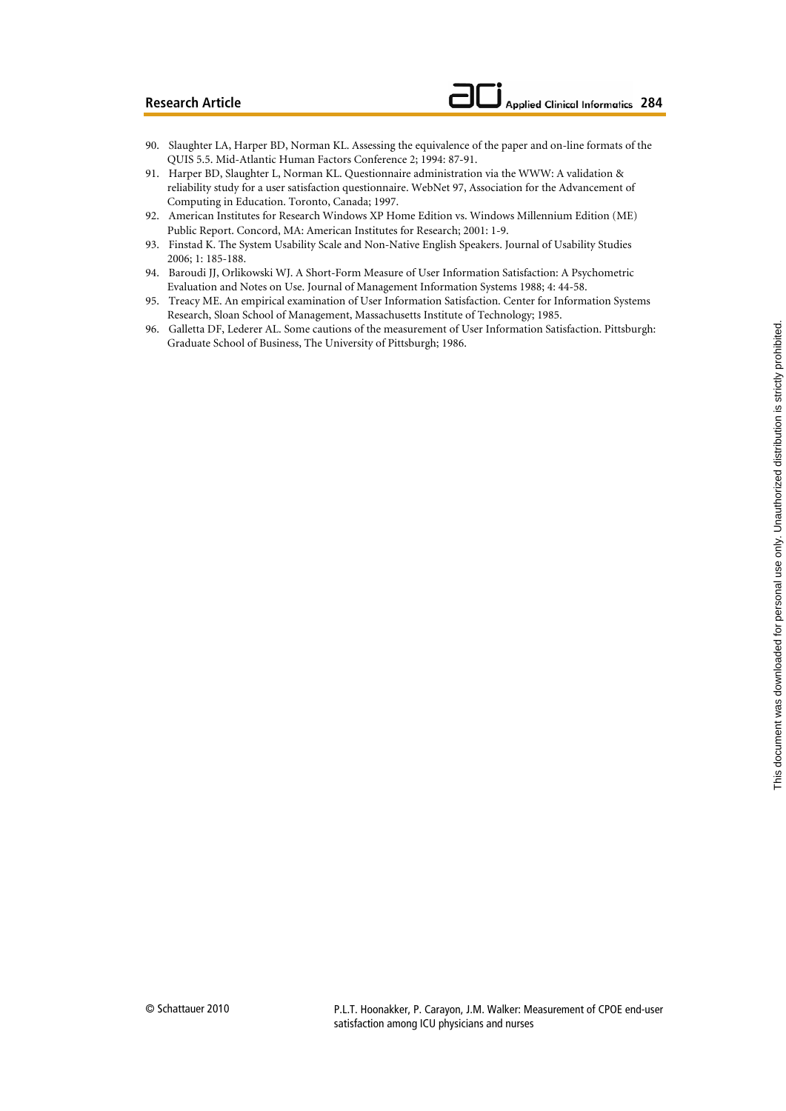- 90. Slaughter LA, Harper BD, Norman KL. Assessing the equivalence of the paper and on-line formats of the QUIS 5.5. Mid-Atlantic Human Factors Conference 2; 1994: 87-91.
- 91. Harper BD, Slaughter L, Norman KL. Questionnaire administration via the WWW: A validation & reliability study for a user satisfaction questionnaire. WebNet 97, Association for the Advancement of Computing in Education. Toronto, Canada; 1997.
- 92. American Institutes for Research Windows XP Home Edition vs. Windows Millennium Edition (ME) Public Report. Concord, MA: American Institutes for Research; 2001: 1-9.
- 93. Finstad K. The System Usability Scale and Non-Native English Speakers. Journal of Usability Studies 2006; 1: 185-188.
- 94. Baroudi JJ, Orlikowski WJ. A Short-Form Measure of User Information Satisfaction: A Psychometric Evaluation and Notes on Use. Journal of Management Information Systems 1988; 4: 44-58.
- 95. Treacy ME. An empirical examination of User Information Satisfaction. Center for Information Systems Research, Sloan School of Management, Massachusetts Institute of Technology; 1985.
- 96. Galletta DF, Lederer AL. Some cautions of the measurement of User Information Satisfaction. Pittsburgh: Graduate School of Business, The University of Pittsburgh; 1986.